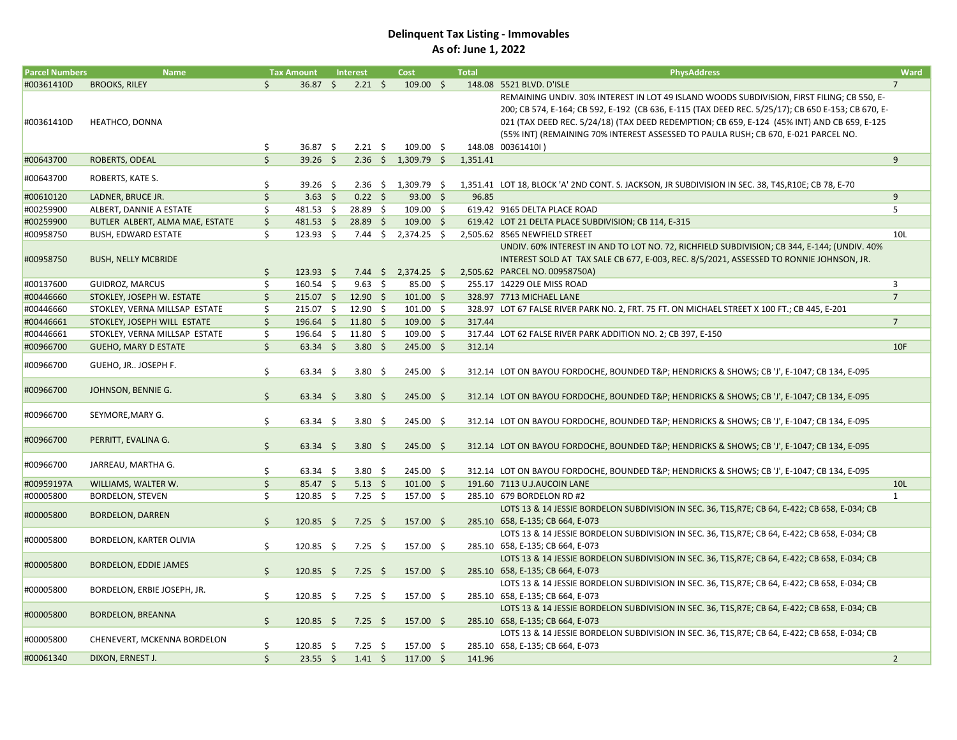## Delinquent Tax Listing - Immovables As of: June 1, 2022

| <b>Parcel Numbers</b> | <b>Name</b>                     |               | <b>Tax Amount</b>              | <b>Interest</b>               | Cost                          | <b>Total</b> | <b>PhysAddress</b>                                                                                                                 | Ward           |
|-----------------------|---------------------------------|---------------|--------------------------------|-------------------------------|-------------------------------|--------------|------------------------------------------------------------------------------------------------------------------------------------|----------------|
| #00361410D            | <b>BROOKS, RILEY</b>            | \$            | $36.87$ \$                     | $2.21 \quad $$                | $109.00$ \$                   |              | 148.08 5521 BLVD. D'ISLE                                                                                                           | $\overline{7}$ |
|                       |                                 |               |                                |                               |                               |              | REMAINING UNDIV. 30% INTEREST IN LOT 49 ISLAND WOODS SUBDIVISION, FIRST FILING; CB 550, E-                                         |                |
|                       |                                 |               |                                |                               |                               |              | 200; CB 574, E-164; CB 592, E-192 (CB 636, E-115 (TAX DEED REC. 5/25/17); CB 650 E-153; CB 670, E-                                 |                |
| #00361410D            | HEATHCO, DONNA                  |               |                                |                               |                               |              | 021 (TAX DEED REC. 5/24/18) (TAX DEED REDEMPTION; CB 659, E-124 (45% INT) AND CB 659, E-125                                        |                |
|                       |                                 |               |                                |                               |                               |              | (55% INT) (REMAINING 70% INTEREST ASSESSED TO PAULA RUSH; CB 670, E-021 PARCEL NO.                                                 |                |
|                       |                                 | \$            | 36.87 \$                       | $2.21 \quad$ \$               | $109.00$ \$                   |              | 148.08 00361410l)                                                                                                                  |                |
| #00643700             | ROBERTS, ODEAL                  | \$            | $39.26$ \$                     |                               | $2.36 \div 1,309.79 \div$     | 1,351.41     |                                                                                                                                    | 9              |
| #00643700             | ROBERTS, KATE S.                |               |                                |                               |                               |              |                                                                                                                                    |                |
|                       |                                 | \$            | $39.26$ \$                     |                               | $2.36 \div 1,309.79 \div$     |              | 1,351.41 LOT 18, BLOCK 'A' 2ND CONT. S. JACKSON, JR SUBDIVISION IN SEC. 38, T4S, R10E; CB 78, E-70                                 |                |
| #00610120             | LADNER, BRUCE JR.               | \$            | $3.63 \quad $$                 | $0.22 \quad$ \$               | $93.00$ \$                    | 96.85        |                                                                                                                                    | 9              |
| #00259900             | ALBERT, DANNIE A ESTATE         | \$            | 481.53 \$                      | 28.89 \$                      | $109.00 \quad $$              |              | 619.42 9165 DELTA PLACE ROAD                                                                                                       | 5              |
| #00259900             | BUTLER ALBERT, ALMA MAE, ESTATE | $\zeta$       | $481.53 \quad $$               | $28.89 \quad $$               | $109.00 \quad $$              |              | 619.42 LOT 21 DELTA PLACE SUBDIVISION; CB 114, E-315                                                                               |                |
| #00958750             | <b>BUSH, EDWARD ESTATE</b>      | \$            | $123.93 \quad $$               |                               | 7.44 \$ 2,374.25 \$           |              | 2,505.62 8565 NEWFIELD STREET                                                                                                      | 10L            |
|                       |                                 |               |                                |                               |                               |              | UNDIV. 60% INTEREST IN AND TO LOT NO. 72, RICHFIELD SUBDIVISION; CB 344, E-144; (UNDIV. 40%                                        |                |
| #00958750             | <b>BUSH, NELLY MCBRIDE</b>      |               |                                |                               |                               |              | INTEREST SOLD AT TAX SALE CB 677, E-003, REC. 8/5/2021, ASSESSED TO RONNIE JOHNSON, JR.                                            |                |
|                       |                                 | \$            | $123.93 \quad $$               |                               | 7.44 \$ 2,374.25 \$           |              | 2,505.62 PARCEL NO. 00958750A)                                                                                                     |                |
| #00137600             | <b>GUIDROZ, MARCUS</b>          | \$            | $160.54$ \$                    | $9.63 \quad $$                | 85.00 \$                      |              | 255.17 14229 OLE MISS ROAD                                                                                                         | 3              |
| #00446660             | STOKLEY, JOSEPH W. ESTATE       | \$            | 215.07 \$ 12.90 \$             |                               | $101.00 \div$                 |              | 328.97 7713 MICHAEL LANE                                                                                                           | $\overline{7}$ |
| #00446660             | STOKLEY, VERNA MILLSAP ESTATE   | Ś.            | 215.07 \$                      | 12.90 \$                      | $101.00 \quad $$              |              | 328.97 LOT 67 FALSE RIVER PARK NO. 2, FRT. 75 FT. ON MICHAEL STREET X 100 FT.; CB 445, E-201                                       |                |
| #00446661             | STOKLEY, JOSEPH WILL ESTATE     | \$            | $196.64 \quad $$               | $11.80 \pm 5$                 | $109.00$ \$                   | 317.44       |                                                                                                                                    | $\overline{7}$ |
| #00446661             | STOKLEY, VERNA MILLSAP ESTATE   | \$            | $196.64 \quad $$               | $11.80 \pm$                   | $109.00$ \$                   |              | 317.44 LOT 62 FALSE RIVER PARK ADDITION NO. 2; CB 397, E-150                                                                       |                |
| #00966700             | <b>GUEHO, MARY D ESTATE</b>     | \$            | $63.34 \quad $5$               | 3.80 \$                       | $245.00 \div$                 | 312.14       |                                                                                                                                    | 10F            |
| #00966700             | GUEHO, JR JOSEPH F.             |               |                                |                               |                               |              |                                                                                                                                    |                |
|                       |                                 | \$            | $63.34$ \$                     | $3.80\quad$ \$                | 245.00 \$                     |              | 312.14 LOT ON BAYOU FORDOCHE, BOUNDED T&P HENDRICKS & SHOWS; CB 'J', E-1047; CB 134, E-095                                         |                |
| #00966700             | JOHNSON, BENNIE G.              |               |                                |                               |                               |              |                                                                                                                                    |                |
|                       |                                 | \$            | $63.34 \quad $$                | $3.80\frac{1}{2}$             | $245.00$ \$                   |              | 312.14 LOT ON BAYOU FORDOCHE, BOUNDED T&P HENDRICKS & SHOWS; CB 'J', E-1047; CB 134, E-095                                         |                |
| #00966700             | SEYMORE, MARY G.                |               |                                |                               |                               |              |                                                                                                                                    |                |
|                       |                                 | \$            | $63.34$ \$                     | $3.80\quad$ \$                | 245.00 \$                     |              | 312.14 LOT ON BAYOU FORDOCHE, BOUNDED T&P HENDRICKS & SHOWS; CB 'J', E-1047; CB 134, E-095                                         |                |
| #00966700             | PERRITT, EVALINA G.             |               |                                |                               |                               |              |                                                                                                                                    |                |
|                       |                                 | \$            | $63.34 \quad $$                | 3.80 \$                       | $245.00$ \$                   |              | 312.14 LOT ON BAYOU FORDOCHE, BOUNDED T&P HENDRICKS & SHOWS; CB 'J', E-1047; CB 134, E-095                                         |                |
| #00966700             | JARREAU, MARTHA G.              |               |                                |                               |                               |              |                                                                                                                                    |                |
|                       |                                 | \$            | $63.34$ \$                     | $3.80\quad$ \$                | 245.00 \$                     |              | 312.14 LOT ON BAYOU FORDOCHE, BOUNDED T&P HENDRICKS & SHOWS; CB 'J', E-1047; CB 134, E-095                                         |                |
| #00959197A            | WILLIAMS, WALTER W.             | \$            | 85.47 \$                       | $5.13 \quad $5$               | $101.00 \pm 1$                |              | 191.60 7113 U.J.AUCOIN LANE                                                                                                        | 10L            |
| #00005800             | <b>BORDELON, STEVEN</b>         | \$            | $120.85$ \$                    | $7.25$ \$                     | 157.00 \$                     |              | 285.10 679 BORDELON RD #2                                                                                                          | $\mathbf{1}$   |
| #00005800             | <b>BORDELON, DARREN</b>         |               |                                |                               |                               |              | LOTS 13 & 14 JESSIE BORDELON SUBDIVISION IN SEC. 36, T1S, R7E; CB 64, E-422; CB 658, E-034; CB                                     |                |
|                       |                                 | \$            | $120.85$ \$                    | $7.25$ \$                     | $157.00$ \$                   |              | 285.10 658, E-135; CB 664, E-073                                                                                                   |                |
| #00005800             | BORDELON, KARTER OLIVIA         |               |                                |                               |                               |              | LOTS 13 & 14 JESSIE BORDELON SUBDIVISION IN SEC. 36, T1S, R7E; CB 64, E-422; CB 658, E-034; CB                                     |                |
|                       |                                 | \$            | $120.85 \quad $$               | $7.25 \quad$ \$               | 157.00 \$                     |              | 285.10 658, E-135; CB 664, E-073                                                                                                   |                |
| #00005800             | BORDELON, EDDIE JAMES           |               |                                |                               |                               |              | LOTS 13 & 14 JESSIE BORDELON SUBDIVISION IN SEC. 36, T1S, R7E; CB 64, E-422; CB 658, E-034; CB                                     |                |
|                       |                                 | \$            | $120.85 \quad$ \$              | $7.25 \quad$ \$               | $157.00 \div$                 |              | 285.10 658, E-135; CB 664, E-073                                                                                                   |                |
| #00005800             | BORDELON, ERBIE JOSEPH, JR.     |               |                                |                               |                               |              | LOTS 13 & 14 JESSIE BORDELON SUBDIVISION IN SEC. 36, T1S, R7E; CB 64, E-422; CB 658, E-034; CB                                     |                |
|                       |                                 | \$            | $120.85 \quad $$               | $7.25 \quad$ \$               | 157.00 \$                     |              | 285.10 658, E-135; CB 664, E-073                                                                                                   |                |
| #00005800             | <b>BORDELON, BREANNA</b>        | Ś.            |                                |                               |                               |              | LOTS 13 & 14 JESSIE BORDELON SUBDIVISION IN SEC. 36, T1S, R7E; CB 64, E-422; CB 658, E-034; CB                                     |                |
|                       |                                 |               | $120.85 \quad$ \$              | $7.25 \quad$ \$               | $157.00 \quad$ \$             |              | 285.10 658, E-135; CB 664, E-073<br>LOTS 13 & 14 JESSIE BORDELON SUBDIVISION IN SEC. 36, T1S, R7E; CB 64, E-422; CB 658, E-034; CB |                |
| #00005800             | CHENEVERT, MCKENNA BORDELON     |               |                                |                               |                               |              | 285.10 658, E-135; CB 664, E-073                                                                                                   |                |
| #00061340             |                                 | \$<br>$\zeta$ | $120.85 \quad $$<br>$23.55$ \$ | $7.25 \quad$ \$<br>$1.41 \pm$ | 157.00 \$<br>$117.00 \quad $$ | 141.96       |                                                                                                                                    | $\overline{2}$ |
|                       | DIXON, ERNEST J.                |               |                                |                               |                               |              |                                                                                                                                    |                |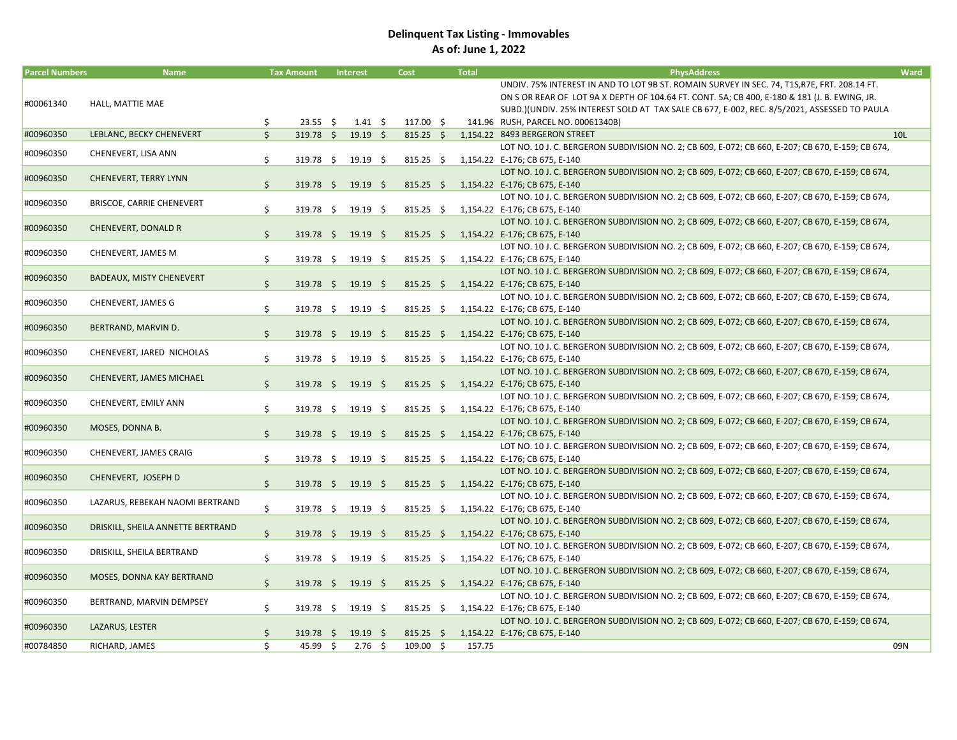## Delinquent Tax Listing - Immovables As of: June 1, 2022

| <b>Parcel Numbers</b> | <b>Name</b>                       |              | <b>Tax Amount</b>        | <b>Interest</b>    | Cost        | <b>Total</b> | <b>PhysAddress</b>                                                                                | Ward            |
|-----------------------|-----------------------------------|--------------|--------------------------|--------------------|-------------|--------------|---------------------------------------------------------------------------------------------------|-----------------|
|                       |                                   |              |                          |                    |             |              | UNDIV. 75% INTEREST IN AND TO LOT 9B ST. ROMAIN SURVEY IN SEC. 74, T1S, R7E, FRT. 208.14 FT.      |                 |
| #00061340             | HALL, MATTIE MAE                  |              |                          |                    |             |              | ON S OR REAR OF LOT 9A X DEPTH OF 104.64 FT. CONT. 5A; CB 400, E-180 & 181 (J. B. EWING, JR.      |                 |
|                       |                                   |              |                          |                    |             |              | SUBD.)(UNDIV. 25% INTEREST SOLD AT TAX SALE CB 677, E-002, REC. 8/5/2021, ASSESSED TO PAULA       |                 |
|                       |                                   | \$           | $23.55$ \$               | $1.41 \pm 5$       | 117.00 \$   |              | 141.96 RUSH, PARCEL NO. 00061340B)                                                                |                 |
| #00960350             | LEBLANC, BECKY CHENEVERT          | Ś.           | $319.78$ \$              | $19.19$ \$         | $815.25$ \$ |              | 1,154.22 8493 BERGERON STREET                                                                     | 10 <sub>L</sub> |
| #00960350             | CHENEVERT, LISA ANN               |              |                          |                    |             |              | LOT NO. 10 J. C. BERGERON SUBDIVISION NO. 2; CB 609, E-072; CB 660, E-207; CB 670, E-159; CB 674, |                 |
|                       |                                   | \$           | $319.78 \quad $$         | $19.19 \pm$        | $815.25$ \$ |              | 1,154.22 E-176; CB 675, E-140                                                                     |                 |
| #00960350             | <b>CHENEVERT, TERRY LYNN</b>      |              |                          |                    |             |              | LOT NO. 10 J. C. BERGERON SUBDIVISION NO. 2; CB 609, E-072; CB 660, E-207; CB 670, E-159; CB 674, |                 |
|                       |                                   | $\mathsf{S}$ | 319.78 \$ 19.19 \$       |                    | $815.25$ \$ |              | 1,154.22 E-176; CB 675, E-140                                                                     |                 |
| #00960350             | BRISCOE, CARRIE CHENEVERT         |              |                          |                    |             |              | LOT NO. 10 J. C. BERGERON SUBDIVISION NO. 2; CB 609, E-072; CB 660, E-207; CB 670, E-159; CB 674, |                 |
|                       |                                   | \$           | 319.78 \$                | $19.19 \quad $$    | $815.25$ \$ |              | 1,154.22 E-176; CB 675, E-140                                                                     |                 |
| #00960350             | <b>CHENEVERT, DONALD R</b>        |              |                          |                    |             |              | LOT NO. 10 J. C. BERGERON SUBDIVISION NO. 2; CB 609, E-072; CB 660, E-207; CB 670, E-159; CB 674, |                 |
|                       |                                   | \$           | $319.78 \quad $$         | $19.19 \quad$ \$   | $815.25$ \$ |              | 1,154.22 E-176; CB 675, E-140                                                                     |                 |
| #00960350             | CHENEVERT, JAMES M                |              |                          |                    |             |              | LOT NO. 10 J. C. BERGERON SUBDIVISION NO. 2; CB 609, E-072; CB 660, E-207; CB 670, E-159; CB 674, |                 |
|                       |                                   | Ś.           | 319.78 \$                | $19.19 \quad $$    | $815.25$ \$ |              | 1.154.22 E-176; CB 675, E-140                                                                     |                 |
| #00960350             | <b>BADEAUX, MISTY CHENEVERT</b>   |              |                          |                    |             |              | LOT NO. 10 J. C. BERGERON SUBDIVISION NO. 2; CB 609, E-072; CB 660, E-207; CB 670, E-159; CB 674, |                 |
|                       |                                   | \$           | $319.78 \quad $$         | $19.19$ \$         | $815.25$ \$ |              | 1,154.22 E-176; CB 675, E-140                                                                     |                 |
|                       | CHENEVERT, JAMES G                |              |                          |                    |             |              | LOT NO. 10 J. C. BERGERON SUBDIVISION NO. 2; CB 609, E-072; CB 660, E-207; CB 670, E-159; CB 674, |                 |
| #00960350             |                                   | Ś.           | 319.78 \$                | 19.19 <sup>5</sup> | $815.25$ \$ |              | 1,154.22 E-176; CB 675, E-140                                                                     |                 |
|                       |                                   |              |                          |                    |             |              | LOT NO. 10 J. C. BERGERON SUBDIVISION NO. 2; CB 609, E-072; CB 660, E-207; CB 670, E-159; CB 674, |                 |
| #00960350             | BERTRAND, MARVIN D.               | $\mathsf{S}$ | $319.78$ \$              | $19.19$ \$         |             |              | 815.25 \$ 1,154.22 E-176; CB 675, E-140                                                           |                 |
|                       |                                   |              |                          |                    |             |              | LOT NO. 10 J. C. BERGERON SUBDIVISION NO. 2; CB 609, E-072; CB 660, E-207; CB 670, E-159; CB 674, |                 |
| #00960350             | CHENEVERT, JARED NICHOLAS         | \$           | 319.78 \$                | 19.19 \$           | $815.25$ \$ |              | 1,154.22 E-176; CB 675, E-140                                                                     |                 |
| #00960350             | CHENEVERT, JAMES MICHAEL          |              |                          |                    |             |              | LOT NO. 10 J. C. BERGERON SUBDIVISION NO. 2; CB 609, E-072; CB 660, E-207; CB 670, E-159; CB 674, |                 |
|                       |                                   | \$           | 319.78 \$                | $19.19$ \$         | $815.25$ \$ |              | 1,154.22 E-176; CB 675, E-140                                                                     |                 |
| #00960350             | CHENEVERT, EMILY ANN              |              |                          |                    |             |              | LOT NO. 10 J. C. BERGERON SUBDIVISION NO. 2; CB 609, E-072; CB 660, E-207; CB 670, E-159; CB 674, |                 |
|                       |                                   | \$           | 319.78 \$                | $19.19$ \$         | $815.25$ \$ |              | 1,154.22 E-176; CB 675, E-140                                                                     |                 |
| #00960350             | MOSES, DONNA B.                   |              |                          |                    |             |              | LOT NO. 10 J. C. BERGERON SUBDIVISION NO. 2; CB 609, E-072; CB 660, E-207; CB 670, E-159; CB 674, |                 |
|                       |                                   | \$           | $319.78$ \$              | $19.19$ \$         | $815.25$ \$ |              | 1,154.22 E-176; CB 675, E-140                                                                     |                 |
| #00960350             | CHENEVERT, JAMES CRAIG            |              |                          |                    |             |              | LOT NO. 10 J. C. BERGERON SUBDIVISION NO. 2; CB 609, E-072; CB 660, E-207; CB 670, E-159; CB 674, |                 |
|                       |                                   | \$           | 319.78 \$                | $19.19 \quad $$    | $815.25$ \$ |              | 1,154.22 E-176; CB 675, E-140                                                                     |                 |
| #00960350             | CHENEVERT, JOSEPH D               |              |                          |                    |             |              | LOT NO. 10 J. C. BERGERON SUBDIVISION NO. 2; CB 609, E-072; CB 660, E-207; CB 670, E-159; CB 674, |                 |
|                       |                                   | \$           | $319.78 \div 19.19 \div$ |                    |             |              | 815.25 \$ 1,154.22 E-176; CB 675, E-140                                                           |                 |
| #00960350             | LAZARUS, REBEKAH NAOMI BERTRAND   |              |                          |                    |             |              | LOT NO. 10 J. C. BERGERON SUBDIVISION NO. 2; CB 609, E-072; CB 660, E-207; CB 670, E-159; CB 674, |                 |
|                       |                                   | Ś.           | 319.78 \$                | $19.19$ \$         | $815.25$ \$ |              | 1,154.22 E-176; CB 675, E-140                                                                     |                 |
| #00960350             | DRISKILL, SHEILA ANNETTE BERTRAND |              |                          |                    |             |              | LOT NO. 10 J. C. BERGERON SUBDIVISION NO. 2; CB 609, E-072; CB 660, E-207; CB 670, E-159; CB 674, |                 |
|                       |                                   | \$           | $319.78$ \$              | $19.19 \div$       | $815.25$ \$ |              | 1,154.22 E-176; CB 675, E-140                                                                     |                 |
| #00960350             | DRISKILL, SHEILA BERTRAND         |              |                          |                    |             |              | LOT NO. 10 J. C. BERGERON SUBDIVISION NO. 2; CB 609, E-072; CB 660, E-207; CB 670, E-159; CB 674, |                 |
|                       |                                   | \$           | 319.78 \$                | 19.19 <sup>5</sup> | $815.25$ \$ |              | 1,154.22 E-176; CB 675, E-140                                                                     |                 |
| #00960350             | MOSES, DONNA KAY BERTRAND         |              |                          |                    |             |              | LOT NO. 10 J. C. BERGERON SUBDIVISION NO. 2; CB 609, E-072; CB 660, E-207; CB 670, E-159; CB 674, |                 |
|                       |                                   | \$           | $319.78$ \$              | $19.19$ \$         | $815.25$ \$ |              | 1,154.22 E-176; CB 675, E-140                                                                     |                 |
| #00960350             | BERTRAND, MARVIN DEMPSEY          |              |                          |                    |             |              | LOT NO. 10 J. C. BERGERON SUBDIVISION NO. 2; CB 609, E-072; CB 660, E-207; CB 670, E-159; CB 674, |                 |
|                       |                                   | Ś.           | 319.78 \$                | 19.19 <sup>5</sup> | $815.25$ \$ |              | 1,154.22 E-176; CB 675, E-140                                                                     |                 |
| #00960350             | LAZARUS, LESTER                   |              |                          |                    |             |              | LOT NO. 10 J. C. BERGERON SUBDIVISION NO. 2; CB 609, E-072; CB 660, E-207; CB 670, E-159; CB 674, |                 |
|                       |                                   | Ś.           | $319.78 \quad $$         | $19.19$ \$         | $815.25$ \$ |              | 1,154.22 E-176; CB 675, E-140                                                                     |                 |
| #00784850             | RICHARD, JAMES                    | Ś.           | 45.99 \$                 | $2.76$ \$          | $109.00$ \$ | 157.75       |                                                                                                   | 09N             |